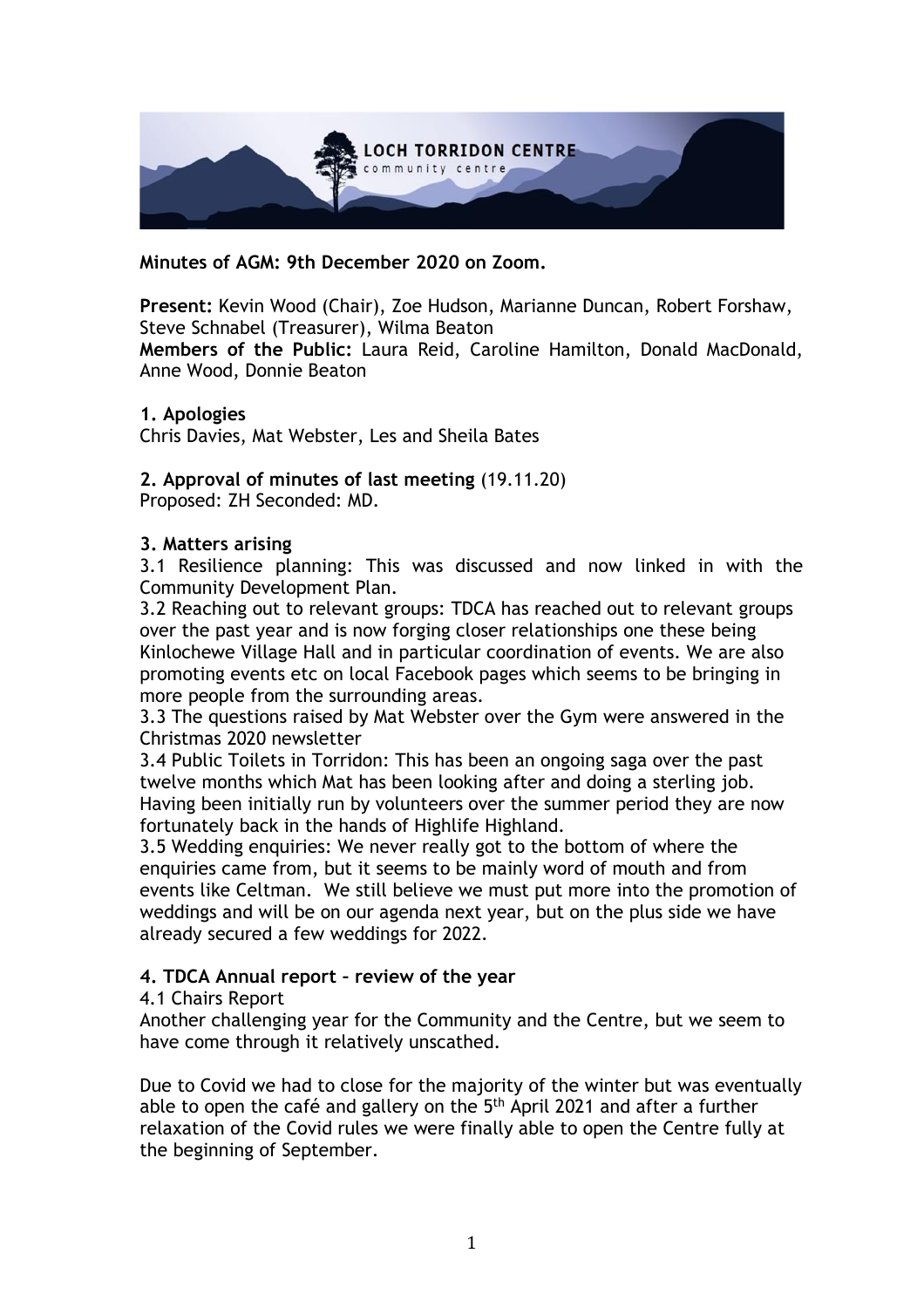

**Minutes of AGM: 9th December 2020 on Zoom.**

**Present:** Kevin Wood (Chair), Zoe Hudson, Marianne Duncan, Robert Forshaw, Steve Schnabel (Treasurer), Wilma Beaton

**Members of the Public:** Laura Reid, Caroline Hamilton, Donald MacDonald, Anne Wood, Donnie Beaton

### **1. Apologies**

Chris Davies, Mat Webster, Les and Sheila Bates

### **2. Approval of minutes of last meeting** (19.11.20)

Proposed: ZH Seconded: MD.

### **3. Matters arising**

3.1 Resilience planning: This was discussed and now linked in with the Community Development Plan.

3.2 Reaching out to relevant groups: TDCA has reached out to relevant groups over the past year and is now forging closer relationships one these being Kinlochewe Village Hall and in particular coordination of events. We are also promoting events etc on local Facebook pages which seems to be bringing in more people from the surrounding areas.

3.3 The questions raised by Mat Webster over the Gym were answered in the Christmas 2020 newsletter

3.4 Public Toilets in Torridon: This has been an ongoing saga over the past twelve months which Mat has been looking after and doing a sterling job. Having been initially run by volunteers over the summer period they are now fortunately back in the hands of Highlife Highland.

3.5 Wedding enquiries: We never really got to the bottom of where the enquiries came from, but it seems to be mainly word of mouth and from events like Celtman. We still believe we must put more into the promotion of weddings and will be on our agenda next year, but on the plus side we have already secured a few weddings for 2022.

## **4. TDCA Annual report – review of the year**

#### 4.1 Chairs Report

Another challenging year for the Community and the Centre, but we seem to have come through it relatively unscathed.

Due to Covid we had to close for the majority of the winter but was eventually able to open the café and gallery on the 5<sup>th</sup> April 2021 and after a further relaxation of the Covid rules we were finally able to open the Centre fully at the beginning of September.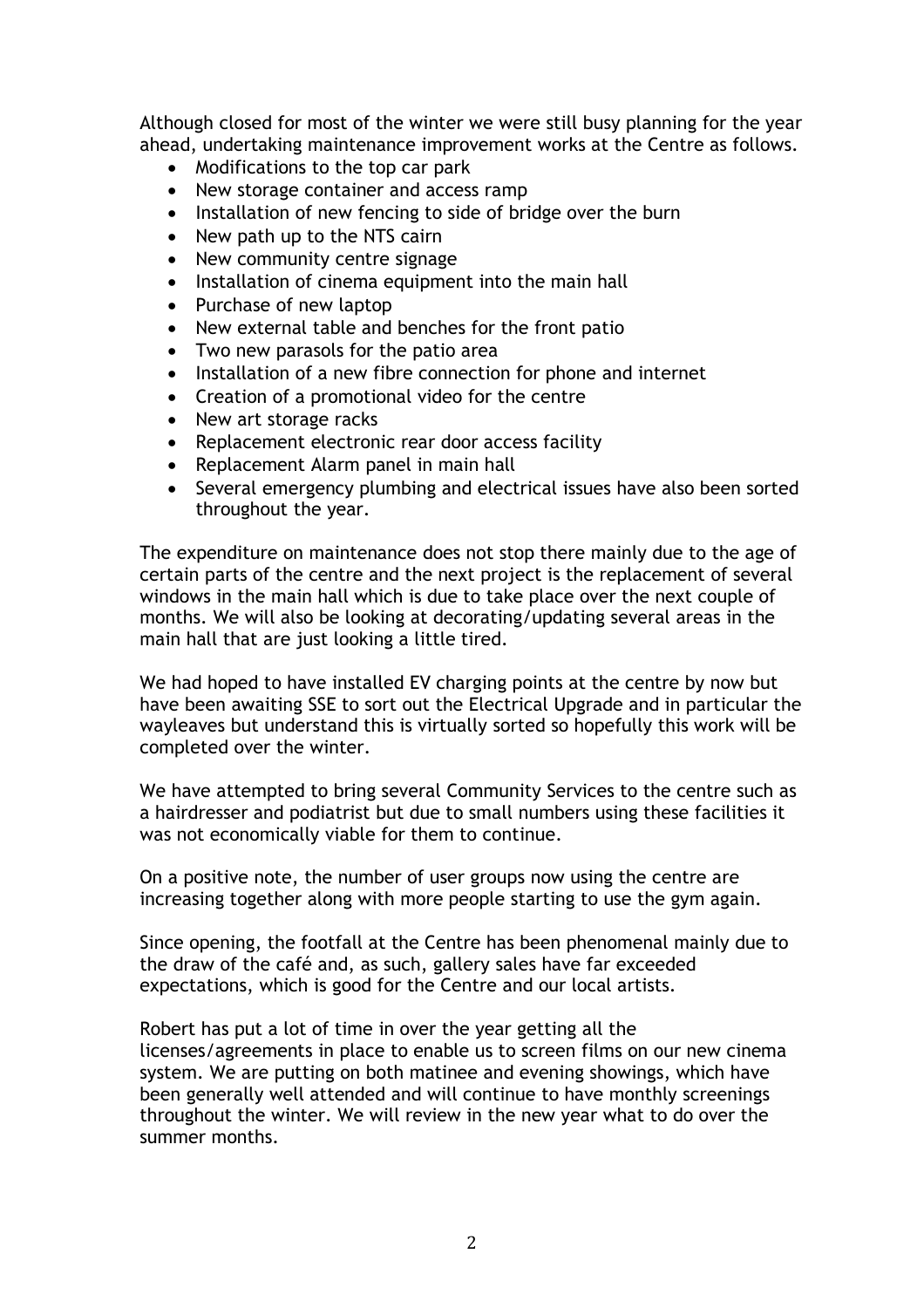Although closed for most of the winter we were still busy planning for the year ahead, undertaking maintenance improvement works at the Centre as follows.

- Modifications to the top car park
- New storage container and access ramp
- Installation of new fencing to side of bridge over the burn
- New path up to the NTS cairn
- New community centre signage
- Installation of cinema equipment into the main hall
- Purchase of new laptop
- New external table and benches for the front patio
- Two new parasols for the patio area
- Installation of a new fibre connection for phone and internet
- Creation of a promotional video for the centre
- New art storage racks
- Replacement electronic rear door access facility
- Replacement Alarm panel in main hall
- Several emergency plumbing and electrical issues have also been sorted throughout the year.

The expenditure on maintenance does not stop there mainly due to the age of certain parts of the centre and the next project is the replacement of several windows in the main hall which is due to take place over the next couple of months. We will also be looking at decorating/updating several areas in the main hall that are just looking a little tired.

We had hoped to have installed EV charging points at the centre by now but have been awaiting SSE to sort out the Electrical Upgrade and in particular the wayleaves but understand this is virtually sorted so hopefully this work will be completed over the winter.

We have attempted to bring several Community Services to the centre such as a hairdresser and podiatrist but due to small numbers using these facilities it was not economically viable for them to continue.

On a positive note, the number of user groups now using the centre are increasing together along with more people starting to use the gym again.

Since opening, the footfall at the Centre has been phenomenal mainly due to the draw of the café and, as such, gallery sales have far exceeded expectations, which is good for the Centre and our local artists.

Robert has put a lot of time in over the year getting all the licenses/agreements in place to enable us to screen films on our new cinema system. We are putting on both matinee and evening showings, which have been generally well attended and will continue to have monthly screenings throughout the winter. We will review in the new year what to do over the summer months.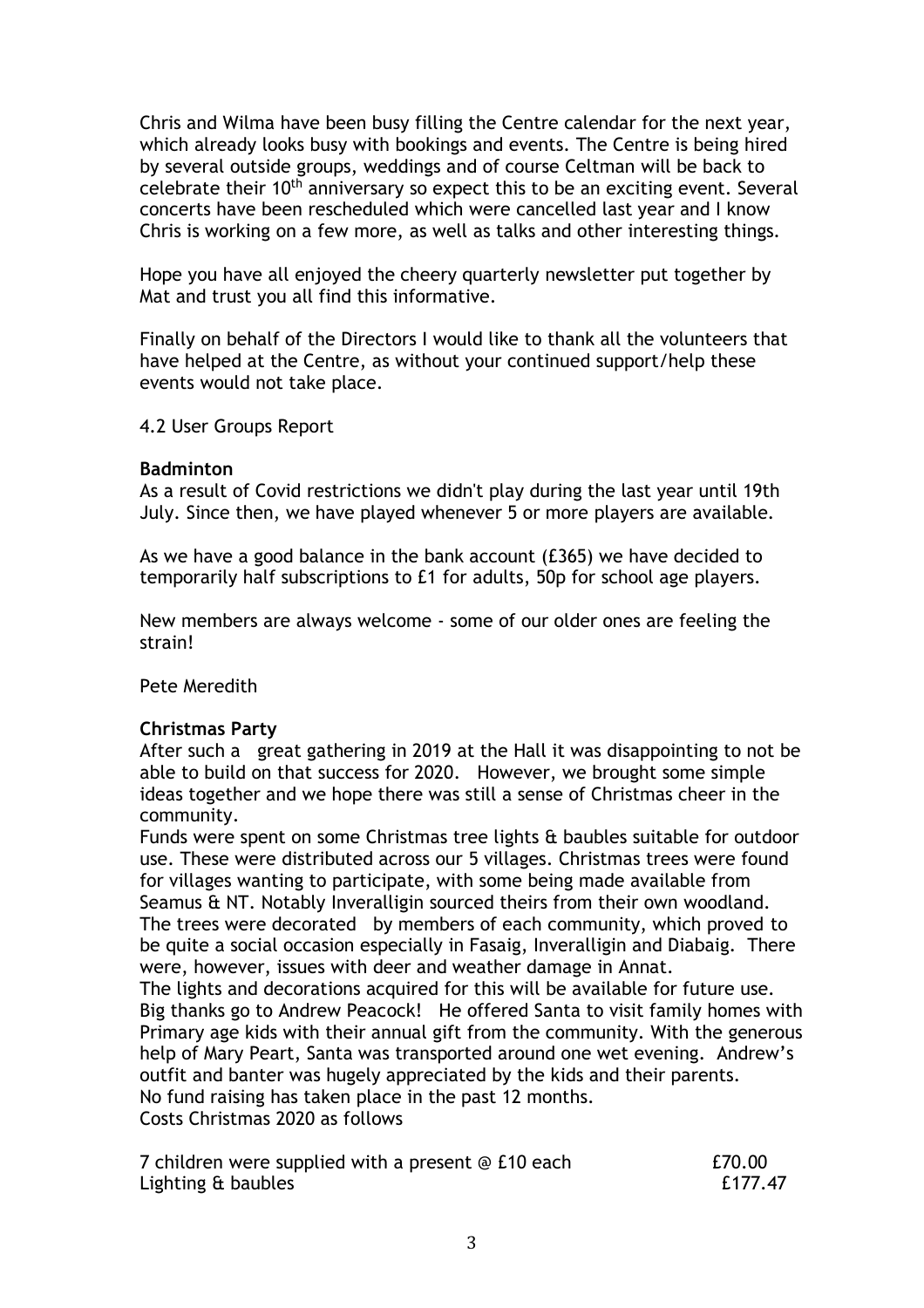Chris and Wilma have been busy filling the Centre calendar for the next year, which already looks busy with bookings and events. The Centre is being hired by several outside groups, weddings and of course Celtman will be back to celebrate their 10th anniversary so expect this to be an exciting event. Several concerts have been rescheduled which were cancelled last year and I know Chris is working on a few more, as well as talks and other interesting things.

Hope you have all enjoyed the cheery quarterly newsletter put together by Mat and trust you all find this informative.

Finally on behalf of the Directors I would like to thank all the volunteers that have helped at the Centre, as without your continued support/help these events would not take place.

4.2 User Groups Report

### **Badminton**

As a result of Covid restrictions we didn't play during the last year until 19th July. Since then, we have played whenever 5 or more players are available.

As we have a good balance in the bank account (£365) we have decided to temporarily half subscriptions to £1 for adults, 50p for school age players.

New members are always welcome - some of our older ones are feeling the strain!

Pete Meredith

## **Christmas Party**

After such a great gathering in 2019 at the Hall it was disappointing to not be able to build on that success for 2020. However, we brought some simple ideas together and we hope there was still a sense of Christmas cheer in the community.

Funds were spent on some Christmas tree lights & baubles suitable for outdoor use. These were distributed across our 5 villages. Christmas trees were found for villages wanting to participate, with some being made available from Seamus & NT. Notably Inveralligin sourced theirs from their own woodland. The trees were decorated by members of each community, which proved to be quite a social occasion especially in Fasaig, Inveralligin and Diabaig. There were, however, issues with deer and weather damage in Annat. The lights and decorations acquired for this will be available for future use. Big thanks go to Andrew Peacock! He offered Santa to visit family homes with Primary age kids with their annual gift from the community. With the generous help of Mary Peart, Santa was transported around one wet evening. Andrew's outfit and banter was hugely appreciated by the kids and their parents.

No fund raising has taken place in the past 12 months. Costs Christmas 2020 as follows

| 7 children were supplied with a present @ £10 each | £70.00  |
|----------------------------------------------------|---------|
| Lighting & baubles                                 | £177.47 |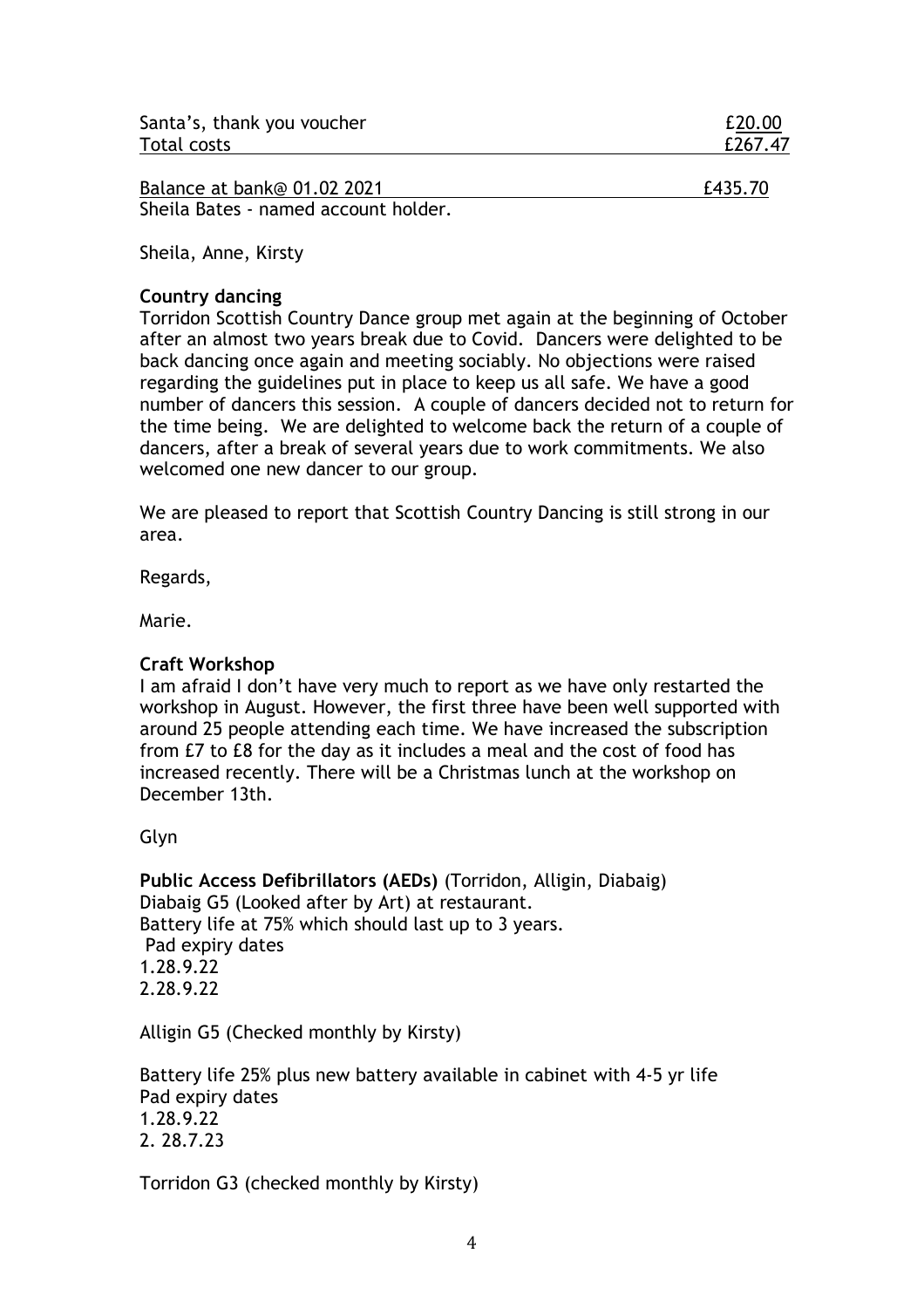| Santa's, thank you voucher | £20.00  |
|----------------------------|---------|
| Total costs                | £267.47 |

| Balance at bank@ 01.02 2021          | £435.70 |
|--------------------------------------|---------|
| Sheila Bates - named account holder. |         |

Sheila, Anne, Kirsty

## **Country dancing**

Torridon Scottish Country Dance group met again at the beginning of October after an almost two years break due to Covid. Dancers were delighted to be back dancing once again and meeting sociably. No objections were raised regarding the guidelines put in place to keep us all safe. We have a good number of dancers this session. A couple of dancers decided not to return for the time being. We are delighted to welcome back the return of a couple of dancers, after a break of several years due to work commitments. We also welcomed one new dancer to our group.

We are pleased to report that Scottish Country Dancing is still strong in our area.

Regards,

Marie.

## **Craft Workshop**

I am afraid I don't have very much to report as we have only restarted the workshop in August. However, the first three have been well supported with around 25 people attending each time. We have increased the subscription from £7 to £8 for the day as it includes a meal and the cost of food has increased recently. There will be a Christmas lunch at the workshop on December 13th.

Glyn

**Public Access Defibrillators (AEDs)** (Torridon, Alligin, Diabaig) Diabaig G5 (Looked after by Art) at restaurant. Battery life at 75% which should last up to 3 years. Pad expiry dates 1.28.9.22 2.28.9.22

Alligin G5 (Checked monthly by Kirsty)

Battery life 25% plus new battery available in cabinet with 4-5 yr life Pad expiry dates 1.28.9.22 2. 28.7.23

Torridon G3 (checked monthly by Kirsty)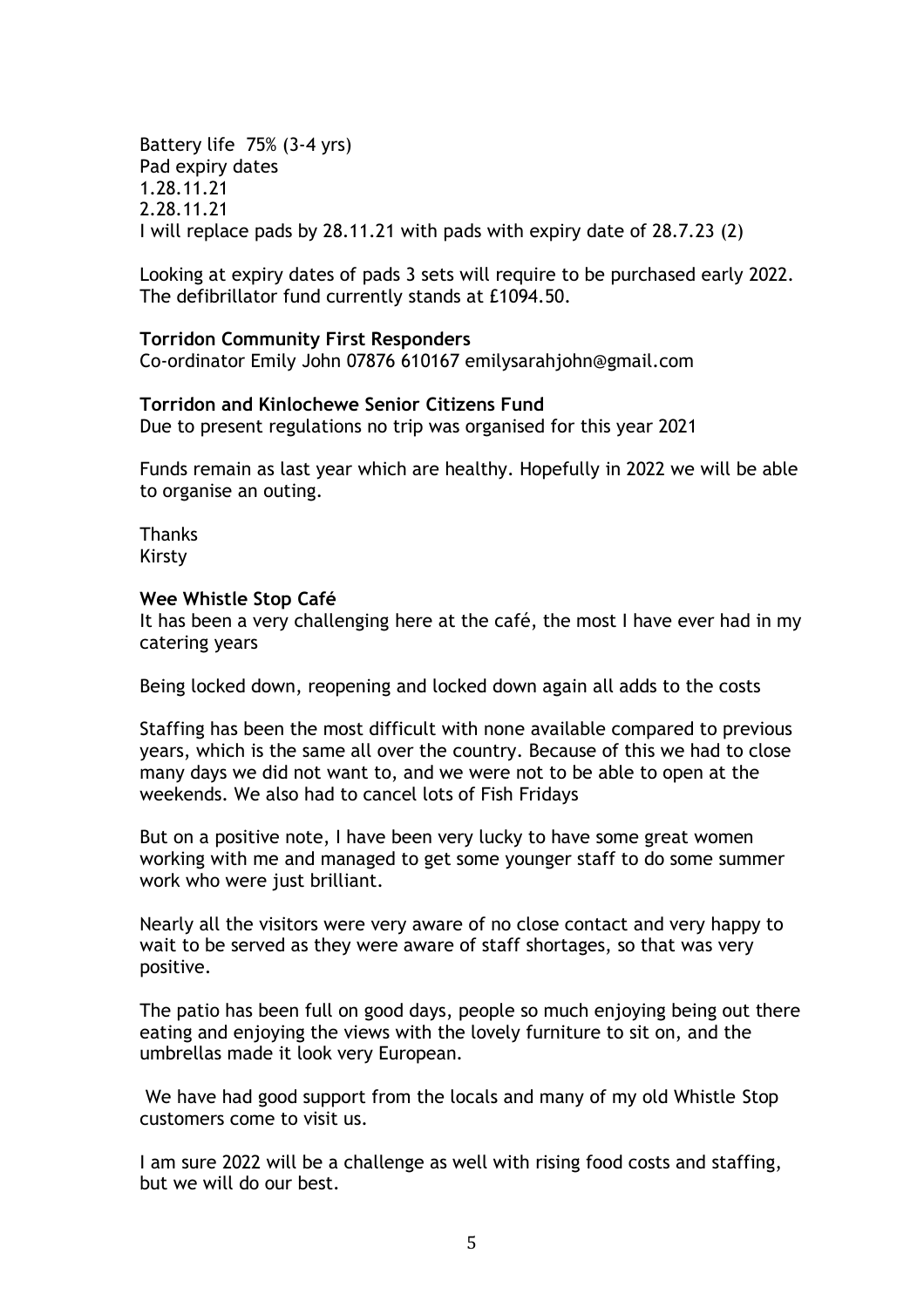Battery life 75% (3-4 yrs) Pad expiry dates 1.28.11.21 2.28.11.21 I will replace pads by 28.11.21 with pads with expiry date of 28.7.23 (2)

Looking at expiry dates of pads 3 sets will require to be purchased early 2022. The defibrillator fund currently stands at £1094.50.

### **Torridon Community First Responders**

Co-ordinator Emily John 07876 610167 emilysarahjohn@gmail.com

# **Torridon and Kinlochewe Senior Citizens Fund**

Due to present regulations no trip was organised for this year 2021

Funds remain as last year which are healthy. Hopefully in 2022 we will be able to organise an outing.

Thanks Kirsty

#### **Wee Whistle Stop Café**

It has been a very challenging here at the café, the most I have ever had in my catering years

Being locked down, reopening and locked down again all adds to the costs

Staffing has been the most difficult with none available compared to previous years, which is the same all over the country. Because of this we had to close many days we did not want to, and we were not to be able to open at the weekends. We also had to cancel lots of Fish Fridays

But on a positive note, I have been very lucky to have some great women working with me and managed to get some younger staff to do some summer work who were just brilliant.

Nearly all the visitors were very aware of no close contact and very happy to wait to be served as they were aware of staff shortages, so that was very positive.

The patio has been full on good days, people so much enjoying being out there eating and enjoying the views with the lovely furniture to sit on, and the umbrellas made it look very European.

We have had good support from the locals and many of my old Whistle Stop customers come to visit us.

I am sure 2022 will be a challenge as well with rising food costs and staffing, but we will do our best.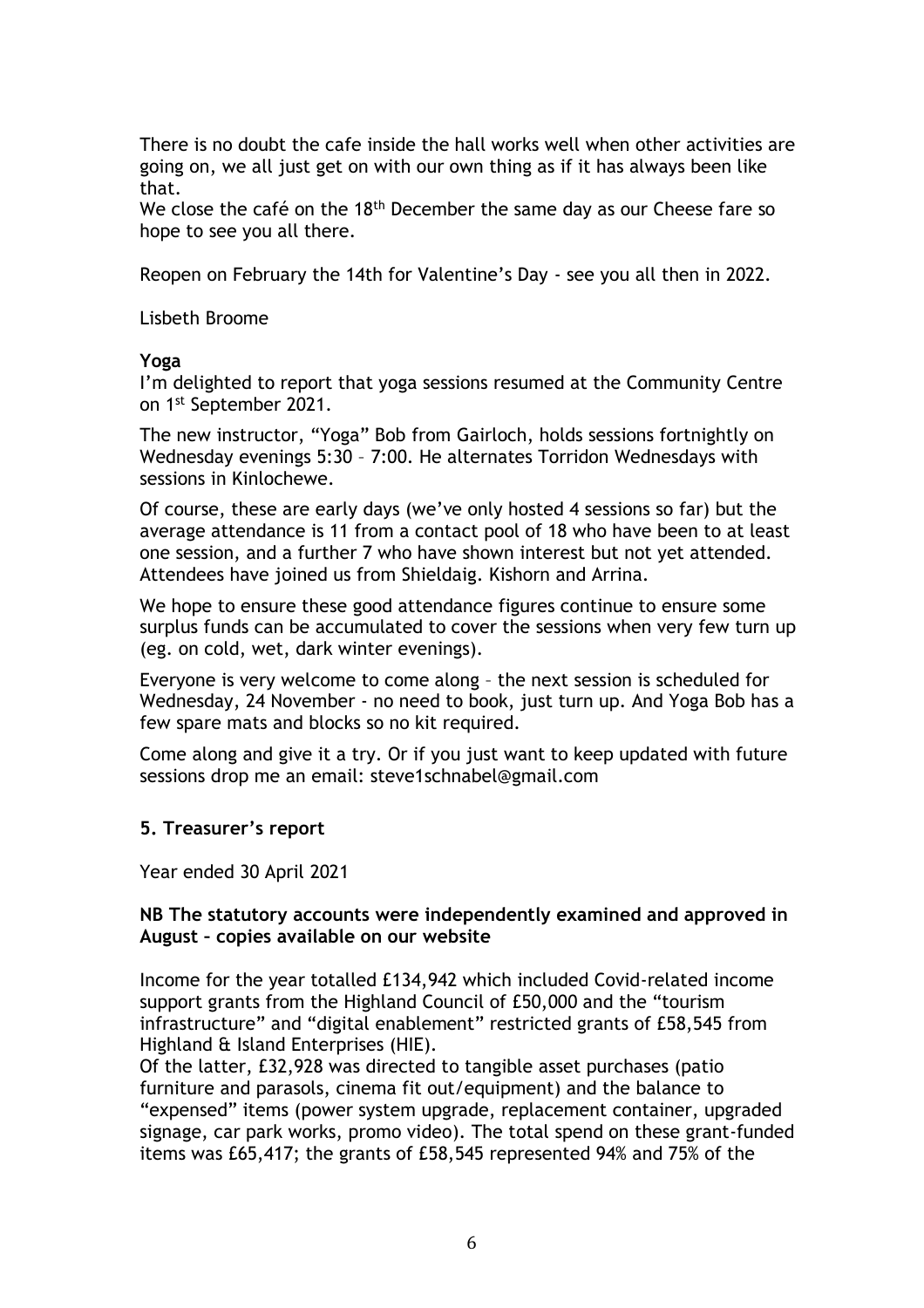There is no doubt the cafe inside the hall works well when other activities are going on, we all just get on with our own thing as if it has always been like that.

We close the café on the  $18<sup>th</sup>$  December the same day as our Cheese fare so hope to see you all there.

Reopen on February the 14th for Valentine's Day - see you all then in 2022.

Lisbeth Broome

#### **Yoga**

I'm delighted to report that yoga sessions resumed at the Community Centre on 1st September 2021.

The new instructor, "Yoga" Bob from Gairloch, holds sessions fortnightly on Wednesday evenings 5:30 – 7:00. He alternates Torridon Wednesdays with sessions in Kinlochewe.

Of course, these are early days (we've only hosted 4 sessions so far) but the average attendance is 11 from a contact pool of 18 who have been to at least one session, and a further 7 who have shown interest but not yet attended. Attendees have joined us from Shieldaig. Kishorn and Arrina.

We hope to ensure these good attendance figures continue to ensure some surplus funds can be accumulated to cover the sessions when very few turn up (eg. on cold, wet, dark winter evenings).

Everyone is very welcome to come along – the next session is scheduled for Wednesday, 24 November - no need to book, just turn up. And Yoga Bob has a few spare mats and blocks so no kit required.

Come along and give it a try. Or if you just want to keep updated with future sessions drop me an email: steve1schnabel@gmail.com

## **5. Treasurer's report**

Year ended 30 April 2021

## **NB The statutory accounts were independently examined and approved in August – copies available on our website**

Income for the year totalled £134,942 which included Covid-related income support grants from the Highland Council of £50,000 and the "tourism infrastructure" and "digital enablement" restricted grants of £58,545 from Highland & Island Enterprises (HIE).

Of the latter, £32,928 was directed to tangible asset purchases (patio furniture and parasols, cinema fit out/equipment) and the balance to "expensed" items (power system upgrade, replacement container, upgraded signage, car park works, promo video). The total spend on these grant-funded items was £65,417; the grants of £58,545 represented 94% and 75% of the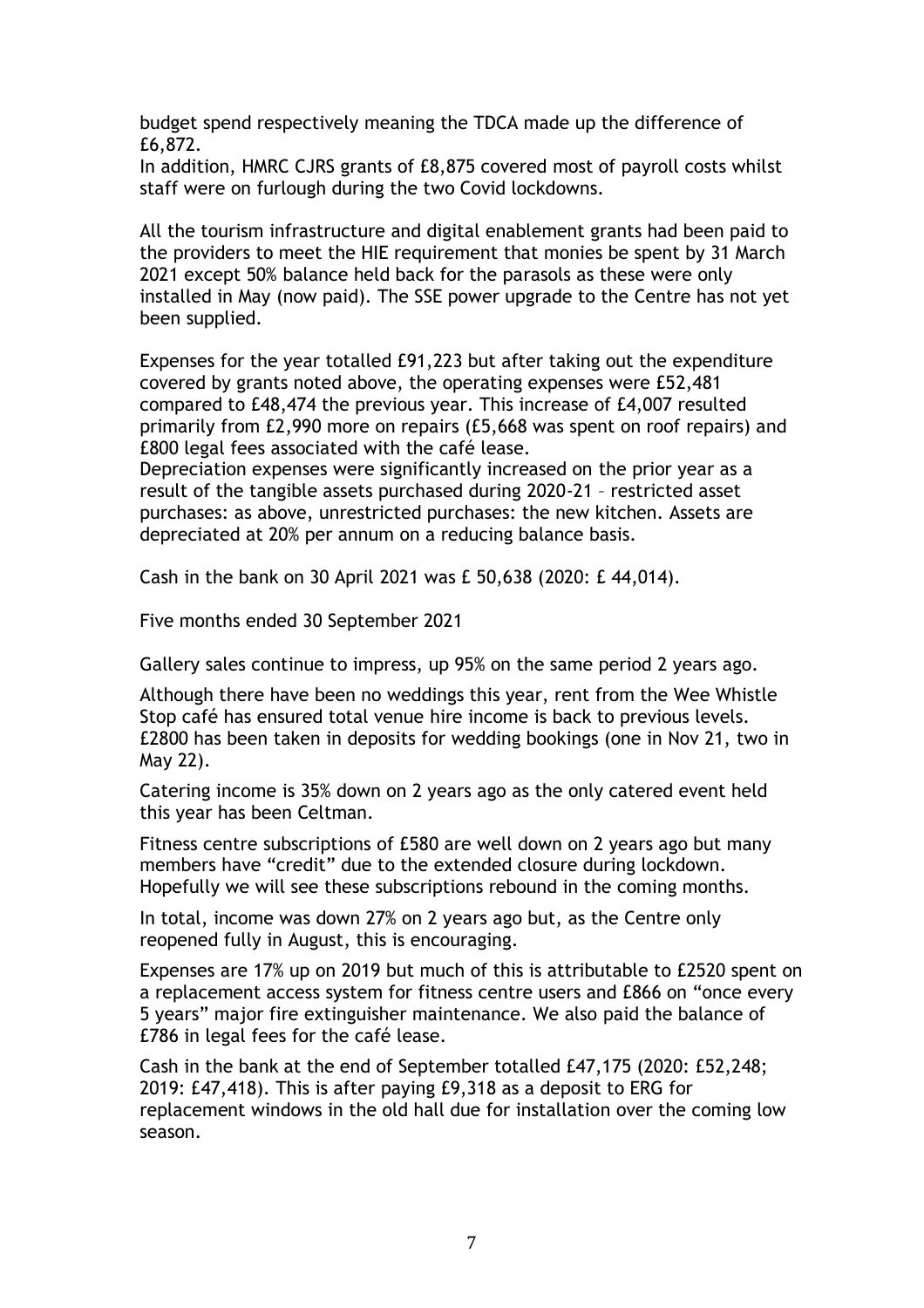budget spend respectively meaning the TDCA made up the difference of £6,872.

In addition, HMRC CJRS grants of £8,875 covered most of payroll costs whilst staff were on furlough during the two Covid lockdowns.

All the tourism infrastructure and digital enablement grants had been paid to the providers to meet the HIE requirement that monies be spent by 31 March 2021 except 50% balance held back for the parasols as these were only installed in May (now paid). The SSE power upgrade to the Centre has not yet been supplied.

Expenses for the year totalled £91,223 but after taking out the expenditure covered by grants noted above, the operating expenses were £52,481 compared to £48,474 the previous year. This increase of £4,007 resulted primarily from £2,990 more on repairs (£5,668 was spent on roof repairs) and £800 legal fees associated with the café lease.

Depreciation expenses were significantly increased on the prior year as a result of the tangible assets purchased during 2020-21 – restricted asset purchases: as above, unrestricted purchases: the new kitchen. Assets are depreciated at 20% per annum on a reducing balance basis.

Cash in the bank on 30 April 2021 was £ 50,638 (2020: £ 44,014).

Five months ended 30 September 2021

Gallery sales continue to impress, up 95% on the same period 2 years ago.

Although there have been no weddings this year, rent from the Wee Whistle Stop café has ensured total venue hire income is back to previous levels. £2800 has been taken in deposits for wedding bookings (one in Nov 21, two in May 22).

Catering income is 35% down on 2 years ago as the only catered event held this year has been Celtman.

Fitness centre subscriptions of £580 are well down on 2 years ago but many members have "credit" due to the extended closure during lockdown. Hopefully we will see these subscriptions rebound in the coming months.

In total, income was down 27% on 2 years ago but, as the Centre only reopened fully in August, this is encouraging.

Expenses are 17% up on 2019 but much of this is attributable to £2520 spent on a replacement access system for fitness centre users and £866 on "once every 5 years" major fire extinguisher maintenance. We also paid the balance of £786 in legal fees for the café lease.

Cash in the bank at the end of September totalled £47,175 (2020: £52,248; 2019: £47,418). This is after paying £9,318 as a deposit to ERG for replacement windows in the old hall due for installation over the coming low season.